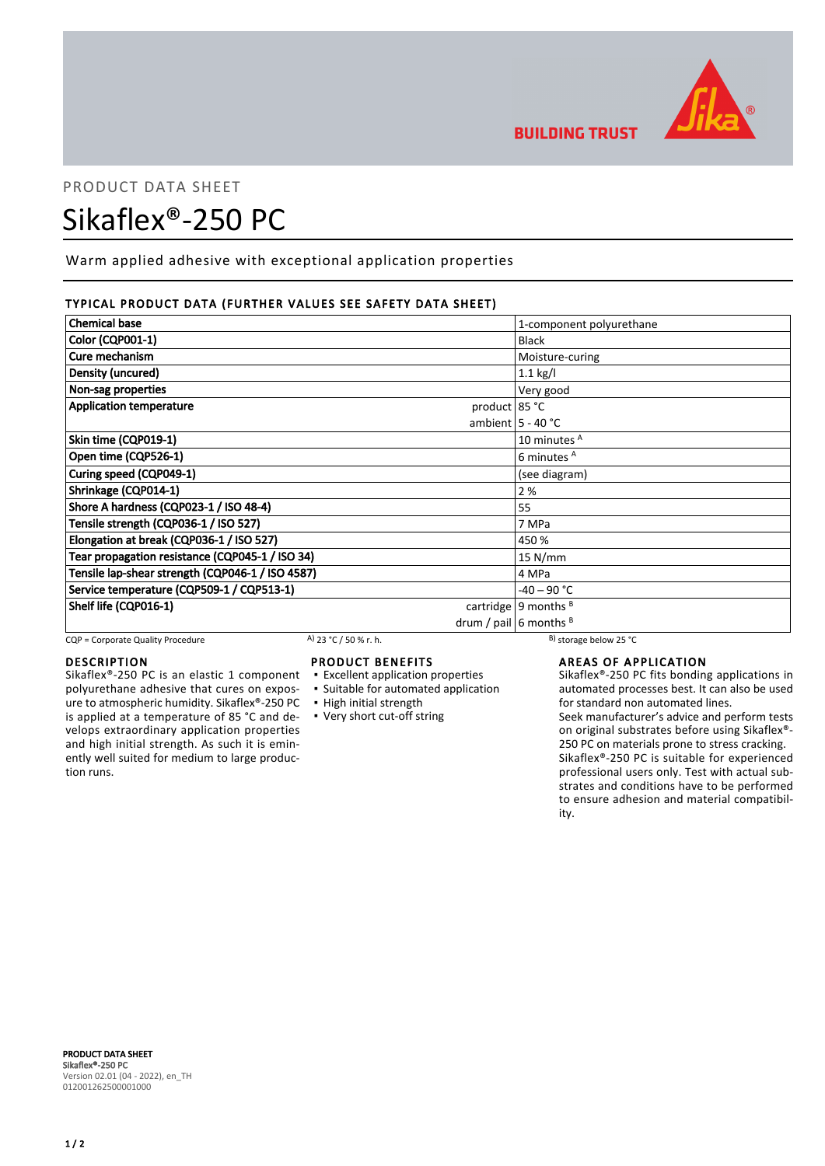

## PRODUCT DATA SHEET

# Sikaflex®-250 PC

Warm applied adhesive with exceptional application properties

## TYPICAL PRODUCT DATA (FURTHER VALUES SEE SAFETY DATA SHEET)

| <b>Chemical base</b>                             | 1-component polyurethane |
|--------------------------------------------------|--------------------------|
| <b>Color (CQP001-1)</b>                          | <b>Black</b>             |
| Cure mechanism                                   | Moisture-curing          |
| Density (uncured)                                | $1.1$ kg/l               |
| Non-sag properties                               | Very good                |
| <b>Application temperature</b><br>product 85 °C  |                          |
|                                                  | ambient $5 - 40$ °C      |
| Skin time (CQP019-1)                             | 10 minutes A             |
| Open time (CQP526-1)                             | 6 minutes <sup>A</sup>   |
| Curing speed (CQP049-1)                          | (see diagram)            |
| Shrinkage (CQP014-1)                             | 2 %                      |
| Shore A hardness (CQP023-1 / ISO 48-4)           | 55                       |
| Tensile strength (CQP036-1 / ISO 527)            | 7 MPa                    |
| Elongation at break (CQP036-1 / ISO 527)         | 450 %                    |
| Tear propagation resistance (CQP045-1 / ISO 34)  | $15$ N/mm                |
| Tensile lap-shear strength (CQP046-1 / ISO 4587) | 4 MPa                    |
| Service temperature (CQP509-1 / CQP513-1)        | $-40 - 90 °C$            |
| Shelf life (CQP016-1)                            | cartridge   9 months $B$ |
|                                                  | drum / pail 6 months $B$ |

CQP = Corporate Quality Procedure A)  $23 °C / 50 %$  r. h. B) storage below 25 °C

## **DESCRIPTION**

Sikaflex®-250 PC is an elastic 1 component polyurethane adhesive that cures on exposure to atmospheric humidity. Sikaflex®-250 PC is applied at a temperature of 85 °C and develops extraordinary application properties and high initial strength. As such it is eminently well suited for medium to large production runs.

## PRODUCT BENEFITS

- **Excellent application properties**
- **Example 5 Suitable for automated application**
- High initial strength
- Very short cut-off string

## AREAS OF APPLICATION

Sikaflex®-250 PC fits bonding applications in automated processes best. It can also be used for standard non automated lines.

Seek manufacturer's advice and perform tests on original substrates before using Sikaflex®- 250 PC on materials prone to stress cracking. Sikaflex®-250 PC is suitable for experienced professional users only. Test with actual substrates and conditions have to be performed to ensure adhesion and material compatibility.

PRODUCT DATA SHEET Sikaflex®-250 PC Version 02.01 (04 - 2022), en\_TH 012001262500001000